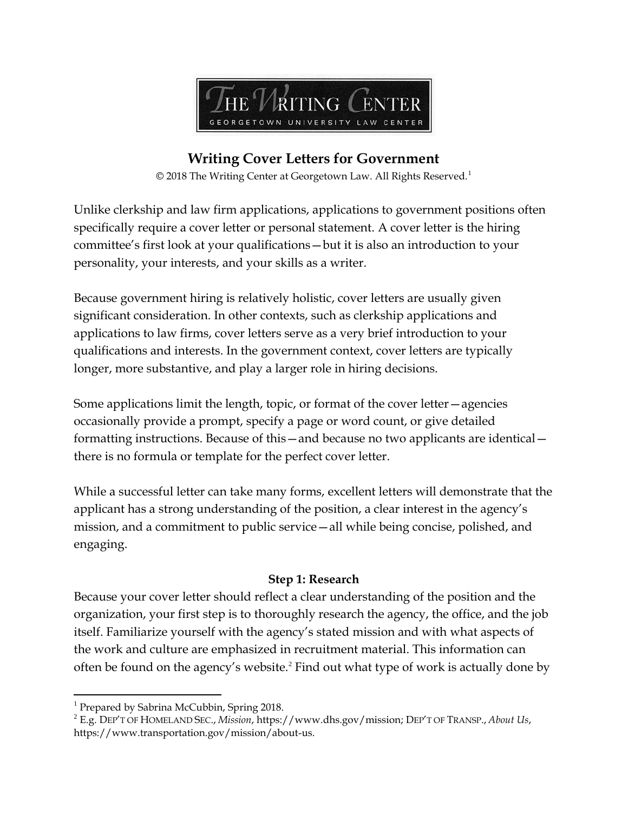

# **Writing Cover Letters for Government**

© 2018 The Writing Center at Georgetown Law. All Rights Reserved.<sup>1</sup>

Unlike clerkship and law firm applications, applications to government positions often specifically require a cover letter or personal statement. A cover letter is the hiring committee's first look at your qualifications—but it is also an introduction to your personality, your interests, and your skills as a writer.

Because government hiring is relatively holistic, cover letters are usually given significant consideration. In other contexts, such as clerkship applications and applications to law firms, cover letters serve as a very brief introduction to your qualifications and interests. In the government context, cover letters are typically longer, more substantive, and play a larger role in hiring decisions.

Some applications limit the length, topic, or format of the cover letter—agencies occasionally provide a prompt, specify a page or word count, or give detailed formatting instructions. Because of this—and because no two applicants are identical there is no formula or template for the perfect cover letter.

While a successful letter can take many forms, excellent letters will demonstrate that the applicant has a strong understanding of the position, a clear interest in the agency's mission, and a commitment to public service—all while being concise, polished, and engaging.

## **Step 1: Research**

Because your cover letter should reflect a clear understanding of the position and the organization, your first step is to thoroughly research the agency, the office, and the job itself. Familiarize yourself with the agency's stated mission and with what aspects of the work and culture are emphasized in recruitment material. This information can often be found on the agency's website.<sup>2</sup> Find out what type of work is actually done by

 $\overline{a}$ 

<sup>&</sup>lt;sup>1</sup> Prepared by Sabrina McCubbin, Spring 2018.

<sup>2</sup> E.g. DEP'T OF HOMELAND SEC., *Mission*, https://www.dhs.gov/mission; DEP'T OF TRANSP., *About Us*, https://www.transportation.gov/mission/about-us.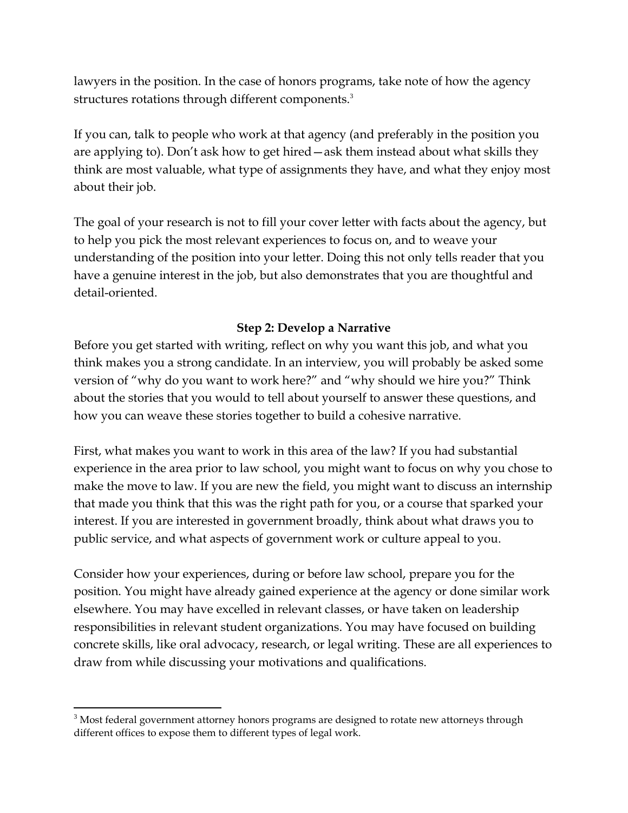lawyers in the position. In the case of honors programs, take note of how the agency structures rotations through different components.<sup>3</sup>

If you can, talk to people who work at that agency (and preferably in the position you are applying to). Don't ask how to get hired—ask them instead about what skills they think are most valuable, what type of assignments they have, and what they enjoy most about their job.

The goal of your research is not to fill your cover letter with facts about the agency, but to help you pick the most relevant experiences to focus on, and to weave your understanding of the position into your letter. Doing this not only tells reader that you have a genuine interest in the job, but also demonstrates that you are thoughtful and detail-oriented.

# **Step 2: Develop a Narrative**

Before you get started with writing, reflect on why you want this job, and what you think makes you a strong candidate. In an interview, you will probably be asked some version of "why do you want to work here?" and "why should we hire you?" Think about the stories that you would to tell about yourself to answer these questions, and how you can weave these stories together to build a cohesive narrative.

First, what makes you want to work in this area of the law? If you had substantial experience in the area prior to law school, you might want to focus on why you chose to make the move to law. If you are new the field, you might want to discuss an internship that made you think that this was the right path for you, or a course that sparked your interest. If you are interested in government broadly, think about what draws you to public service, and what aspects of government work or culture appeal to you.

Consider how your experiences, during or before law school, prepare you for the position. You might have already gained experience at the agency or done similar work elsewhere. You may have excelled in relevant classes, or have taken on leadership responsibilities in relevant student organizations. You may have focused on building concrete skills, like oral advocacy, research, or legal writing. These are all experiences to draw from while discussing your motivations and qualifications.

 $\overline{a}$ <sup>3</sup> Most federal government attorney honors programs are designed to rotate new attorneys through different offices to expose them to different types of legal work.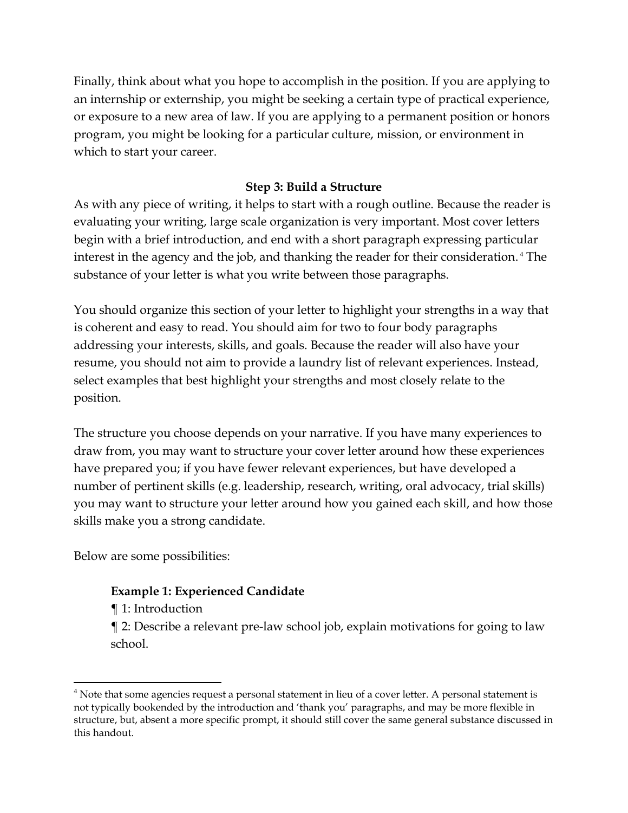Finally, think about what you hope to accomplish in the position. If you are applying to an internship or externship, you might be seeking a certain type of practical experience, or exposure to a new area of law. If you are applying to a permanent position or honors program, you might be looking for a particular culture, mission, or environment in which to start your career.

# **Step 3: Build a Structure**

As with any piece of writing, it helps to start with a rough outline. Because the reader is evaluating your writing, large scale organization is very important. Most cover letters begin with a brief introduction, and end with a short paragraph expressing particular interest in the agency and the job, and thanking the reader for their consideration. <sup>4</sup> The substance of your letter is what you write between those paragraphs.

You should organize this section of your letter to highlight your strengths in a way that is coherent and easy to read. You should aim for two to four body paragraphs addressing your interests, skills, and goals. Because the reader will also have your resume, you should not aim to provide a laundry list of relevant experiences. Instead, select examples that best highlight your strengths and most closely relate to the position.

The structure you choose depends on your narrative. If you have many experiences to draw from, you may want to structure your cover letter around how these experiences have prepared you; if you have fewer relevant experiences, but have developed a number of pertinent skills (e.g. leadership, research, writing, oral advocacy, trial skills) you may want to structure your letter around how you gained each skill, and how those skills make you a strong candidate.

Below are some possibilities:

# **Example 1: Experienced Candidate**

¶ 1: Introduction

 $\overline{a}$ 

¶ 2: Describe a relevant pre-law school job, explain motivations for going to law school.

 $<sup>4</sup>$  Note that some agencies request a personal statement in lieu of a cover letter. A personal statement is</sup> not typically bookended by the introduction and 'thank you' paragraphs, and may be more flexible in structure, but, absent a more specific prompt, it should still cover the same general substance discussed in this handout.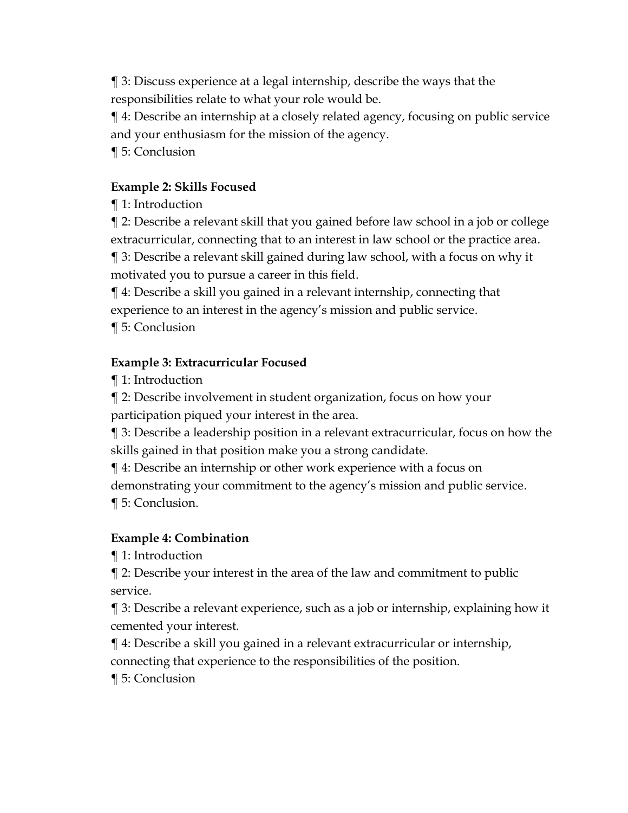¶ 3: Discuss experience at a legal internship, describe the ways that the responsibilities relate to what your role would be.

¶ 4: Describe an internship at a closely related agency, focusing on public service and your enthusiasm for the mission of the agency.

¶ 5: Conclusion

# **Example 2: Skills Focused**

¶ 1: Introduction

¶ 2: Describe a relevant skill that you gained before law school in a job or college extracurricular, connecting that to an interest in law school or the practice area.

¶ 3: Describe a relevant skill gained during law school, with a focus on why it motivated you to pursue a career in this field.

¶ 4: Describe a skill you gained in a relevant internship, connecting that experience to an interest in the agency's mission and public service.

¶ 5: Conclusion

# **Example 3: Extracurricular Focused**

¶ 1: Introduction

¶ 2: Describe involvement in student organization, focus on how your participation piqued your interest in the area.

¶ 3: Describe a leadership position in a relevant extracurricular, focus on how the skills gained in that position make you a strong candidate.

¶ 4: Describe an internship or other work experience with a focus on demonstrating your commitment to the agency's mission and public service.

¶ 5: Conclusion.

# **Example 4: Combination**

¶ 1: Introduction

¶ 2: Describe your interest in the area of the law and commitment to public service.

¶ 3: Describe a relevant experience, such as a job or internship, explaining how it cemented your interest.

¶ 4: Describe a skill you gained in a relevant extracurricular or internship, connecting that experience to the responsibilities of the position.

¶ 5: Conclusion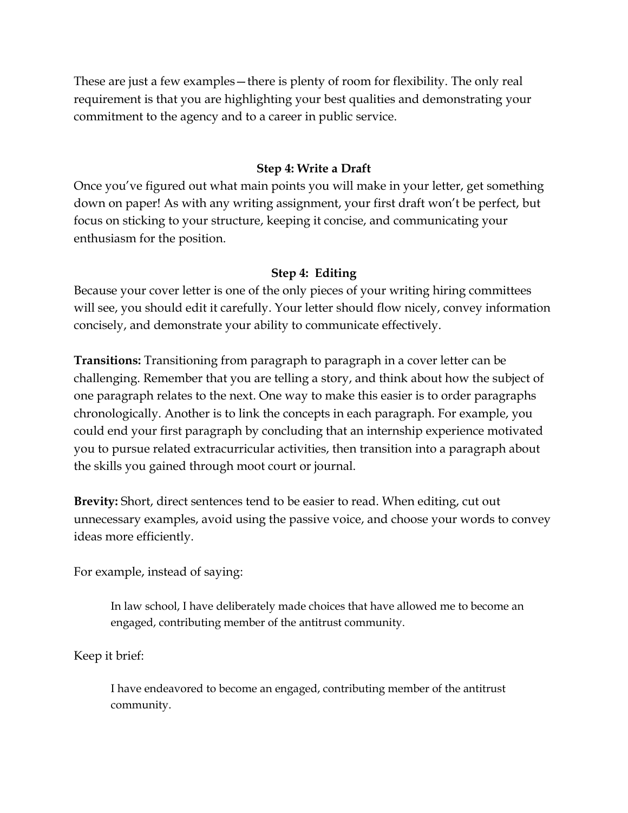These are just a few examples—there is plenty of room for flexibility. The only real requirement is that you are highlighting your best qualities and demonstrating your commitment to the agency and to a career in public service.

## **Step 4: Write a Draft**

Once you've figured out what main points you will make in your letter, get something down on paper! As with any writing assignment, your first draft won't be perfect, but focus on sticking to your structure, keeping it concise, and communicating your enthusiasm for the position.

## **Step 4: Editing**

Because your cover letter is one of the only pieces of your writing hiring committees will see, you should edit it carefully. Your letter should flow nicely, convey information concisely, and demonstrate your ability to communicate effectively.

**Transitions:** Transitioning from paragraph to paragraph in a cover letter can be challenging. Remember that you are telling a story, and think about how the subject of one paragraph relates to the next. One way to make this easier is to order paragraphs chronologically. Another is to link the concepts in each paragraph. For example, you could end your first paragraph by concluding that an internship experience motivated you to pursue related extracurricular activities, then transition into a paragraph about the skills you gained through moot court or journal.

**Brevity:** Short, direct sentences tend to be easier to read. When editing, cut out unnecessary examples, avoid using the passive voice, and choose your words to convey ideas more efficiently.

For example, instead of saying:

In law school, I have deliberately made choices that have allowed me to become an engaged, contributing member of the antitrust community.

Keep it brief:

I have endeavored to become an engaged, contributing member of the antitrust community.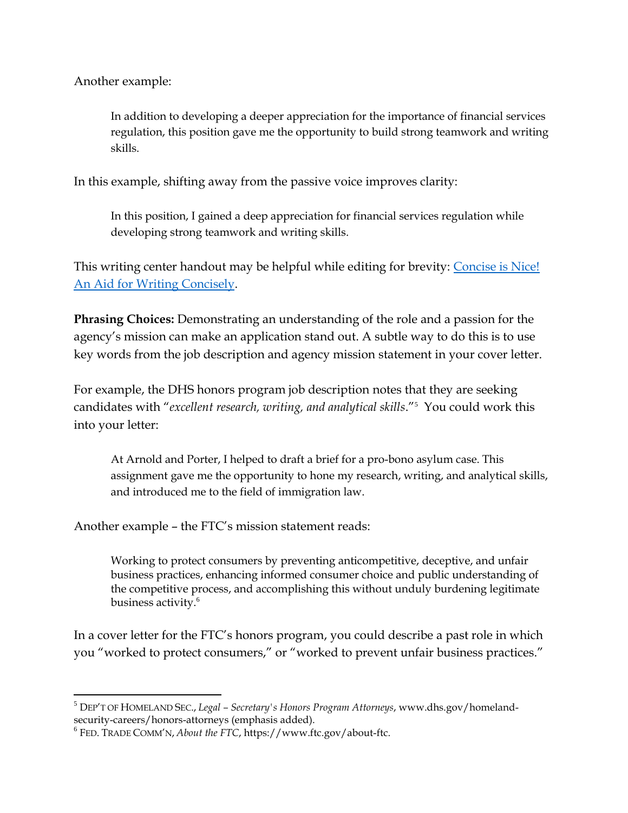Another example:

In addition to developing a deeper appreciation for the importance of financial services regulation, this position gave me the opportunity to build strong teamwork and writing skills.

In this example, shifting away from the passive voice improves clarity:

In this position, I gained a deep appreciation for financial services regulation while developing strong teamwork and writing skills.

This writing center handout may be helpful while editing for brevity: [Concise is Nice!](https://www.law.georgetown.edu/wp-content/uploads/2018/07/Concise-is-Nice.-Spring-2010.Final_-1.pdf)  [An Aid for Writing Concisely.](https://www.law.georgetown.edu/wp-content/uploads/2018/07/Concise-is-Nice.-Spring-2010.Final_-1.pdf)

**Phrasing Choices:** Demonstrating an understanding of the role and a passion for the agency's mission can make an application stand out. A subtle way to do this is to use key words from the job description and agency mission statement in your cover letter.

For example, the DHS honors program job description notes that they are seeking candidates with "*excellent research, writing, and analytical skills*."<sup>5</sup> You could work this into your letter:

At Arnold and Porter, I helped to draft a brief for a pro-bono asylum case. This assignment gave me the opportunity to hone my research, writing, and analytical skills, and introduced me to the field of immigration law.

Another example – the FTC's mission statement reads:

Working to protect consumers by preventing anticompetitive, deceptive, and unfair business practices, enhancing informed consumer choice and public understanding of the competitive process, and accomplishing this without unduly burdening legitimate business activity.<sup>6</sup>

In a cover letter for the FTC's honors program, you could describe a past role in which you "worked to protect consumers," or "worked to prevent unfair business practices."

 $\overline{a}$ 

<sup>5</sup> DEP'T OF HOMELAND SEC., *Legal – Secretary's Honors Program Attorneys*, www.dhs.gov/homelandsecurity-careers/honors-attorneys (emphasis added).

<sup>6</sup> FED. TRADE COMM'N, *About the FTC*, https://www.ftc.gov/about-ftc.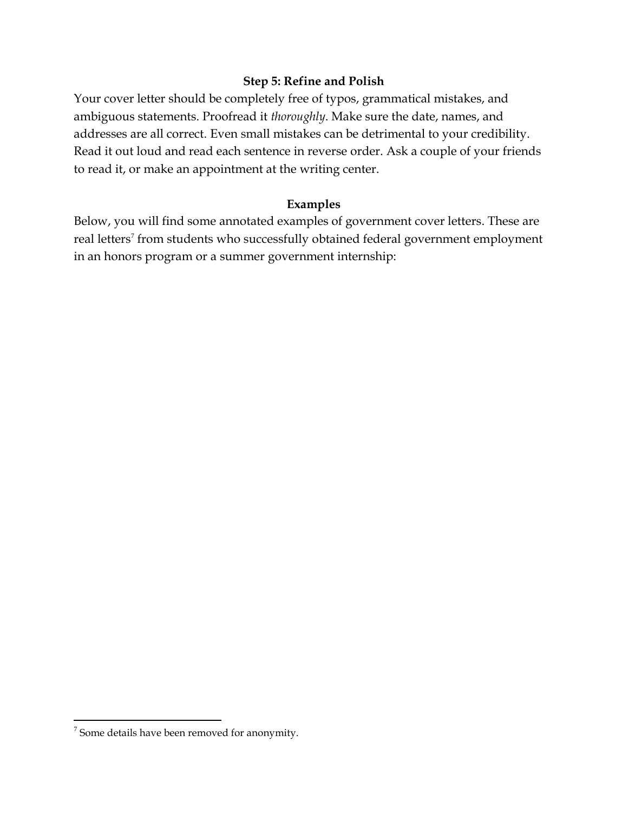## **Step 5: Refine and Polish**

Your cover letter should be completely free of typos, grammatical mistakes, and ambiguous statements. Proofread it *thoroughly*. Make sure the date, names, and addresses are all correct. Even small mistakes can be detrimental to your credibility. Read it out loud and read each sentence in reverse order. Ask a couple of your friends to read it, or make an appointment at the writing center.

## **Examples**

Below, you will find some annotated examples of government cover letters. These are real letters<sup>7</sup> from students who successfully obtained federal government employment in an honors program or a summer government internship:

 $\overline{a}$ 

 $7$  Some details have been removed for anonymity.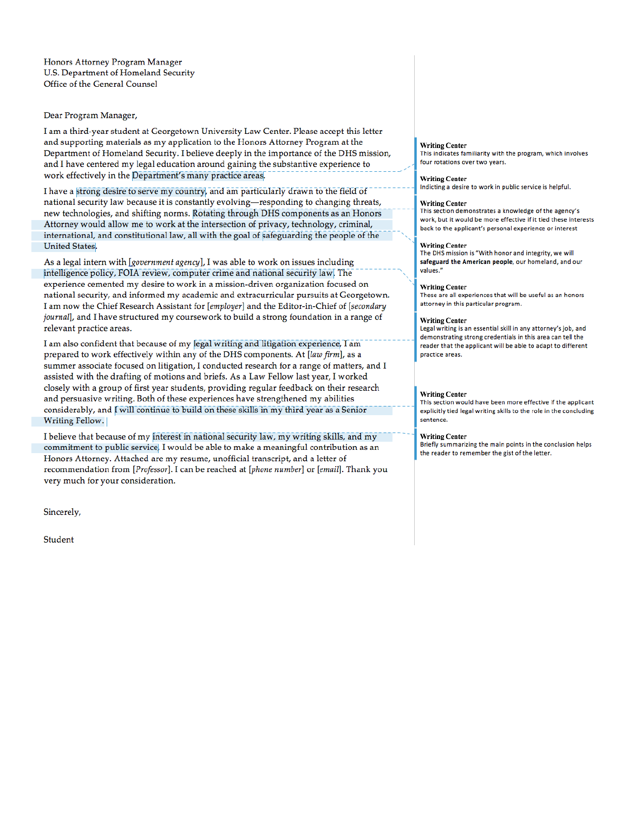Honors Attorney Program Manager U.S. Department of Homeland Security Office of the General Counsel

Dear Program Manager,

I am a third-year student at Georgetown University Law Center. Please accept this letter and supporting materials as my application to the Honors Attorney Program at the Department of Homeland Security. I believe deeply in the importance of the DHS mission, and I have centered my legal education around gaining the substantive experience to work effectively in the Department's many practice areas.

I have a strong desire to serve my country, and am particularly drawn to the field of national security law because it is constantly evolving-responding to changing threats, new technologies, and shifting norms. Rotating through DHS components as an Honors Attorney would allow me to work at the intersection of privacy, technology, criminal, international, and constitutional law, all with the goal of safeguarding the people of the **United States.** 

As a legal intern with  $[gevernment agentcy]$ , I was able to work on issues including intelligence policy, FOIA review, computer crime and national security law. The experience cemented my desire to work in a mission-driven organization focused on national security, and informed my academic and extracurricular pursuits at Georgetown. I am now the Chief Research Assistant for [employer] and the Editor-in-Chief of [secondary journal], and I have structured my coursework to build a strong foundation in a range of relevant practice areas.

I am also confident that because of my legal writing and litigation experience, I am prepared to work effectively within any of the DHS components. At [law firm], as a summer associate focused on litigation, I conducted research for a range of matters, and I assisted with the drafting of motions and briefs. As a Law Fellow last year, I worked closely with a group of first year students, providing regular feedback on their research and persuasive writing. Both of these experiences have strengthened my abilities considerably, and I will continue to build on these skills in my third year as a Senior **Writing Fellow.** 

I believe that because of my interest in national security law, my writing skills, and my commitment to public service, I would be able to make a meaningful contribution as an Honors Attorney. Attached are my resume, unofficial transcript, and a letter of recommendation from [Professor]. I can be reached at [phone number] or [email]. Thank you very much for your consideration.

Sincerely,

Student

### **Writing Center**

This indicates familiarity with the program, which involves four rotations over two years.

#### **Writing Center**

Indicting a desire to work in public service is helpful.

## **Writing Center**

This section demonstrates a knowledge of the agency's work, but it would be more effective if it tied these interests back to the applicant's personal experience or interest

#### **Writing Center**

The DHS mission is "With honor and integrity, we will safeguard the American people, our homeland, and our values."

#### **Writing Center**

These are all experiences that will be useful as an honors attorney in this particular program.

## **Writing Center**

Legal writing is an essential skill in any attorney's job, and demonstrating strong credentials in this area can tell the reader that the applicant will be able to adapt to different practice areas.

#### **Writing Center**

This section would have been more effective if the applicant explicitly tied legal writing skills to the role in the concluding sentence.

#### **Writing Center**

Briefly summarizing the main points in the conclusion helps the reader to remember the gist of the letter.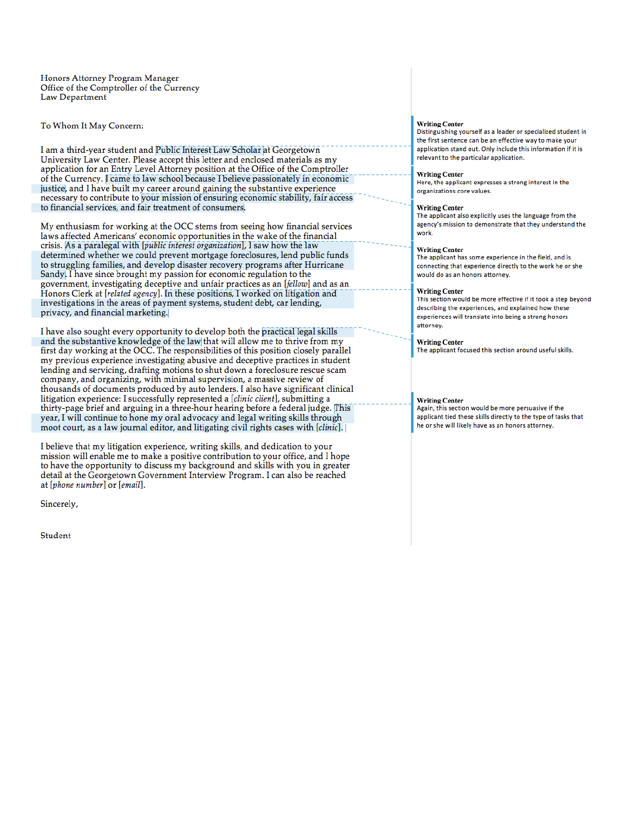Honors Attorney Program Manager Office of the Comptroller of the Currency Law Department

To Whom It May Concern:

I am a third-year student and Public Interest Law Scholar at Georgetown University Law Center. Please accept this letter and enclosed materials as my application for an Entry Level Attorney position at the Office of the Comptroller of the Currency. I came to law school because I believe passionately in economic justice, and I have built my career around gaining the substantive experience necessary to contribute to your mission of ensuring economic stability, fair access to financial services, and fair treatment of consumers.

My enthusiasm for working at the OCC stems from seeing how financial services laws affected Americans' economic opportunities in the wake of the financial crisis. As a paralegal with [public interest organization], I saw how the law determined whether we could prevent mortgage foreclosures, lend public funds to struggling families, and develop disaster recovery programs after Hurricane Sandy. I have since brought my passion for economic regulation to the government, investigating deceptive and unfair practices as an [fellow] and as an Honors Clerk at [related agency]. In these positions, I worked on litigation and investigations in the areas of payment systems, student debt, car lending, privacy, and financial marketing.

I have also sought every opportunity to develop both the practical legal skills and the substantive knowledge of the law that will allow me to thrive from my first day working at the OCC. The responsibilities of this position closely parallel my previous experience investigating abusive and deceptive practices in student lending and servicing, drafting motions to shut down a foreclosure rescue scam company, and organizing, with minimal supervision, a massive review of thousands of documents produced by auto lenders. I also have significant clinical litigation experience: I successfully represented a [clinic client], submitting a thirty-page brief and arguing in a three-hour hearing before a federal judge. This year, I will continue to hone my oral advocacy and legal writing skills through moot court, as a law journal editor, and litigating civil rights cases with [clinic].

I believe that my litigation experience, writing skills, and dedication to your mission will enable me to make a positive contribution to your office, and I hope to have the opportunity to discuss my background and skills with you in greater detail at the Georgetown Government Interview Program. I can also be reached at [phone number] or [email].

Sincerely,

Student

## **Writing Center**

Distinguishing yourself as a leader or specialized student in the first sentence can be an effective way to make your application stand out. Only include this information if it is relevant to the particular application.

#### **Writing Center**

Here, the applicant expresses a strong interest in the organizations core values.

### **Writing Center**

The applicant also explicitly uses the language from the agency's mission to demonstrate that they understand the work.

### **Writing Center**

The applicant has some experience in the field, and is connecting that experience directly to the work he or she would do as an honors attorney.

#### **Writing Center**

This section would be more effective if it took a step bevond describing the experiences, and explained how these experiences will translate into being a strong honors attorney.

#### **Writing Center**

The applicant focused this section around useful skills.

#### **Writing Center**

Again, this section would be more persuasive if the applicant tied these skills directly to the type of tasks that he or she will likely have as an honors attorney.